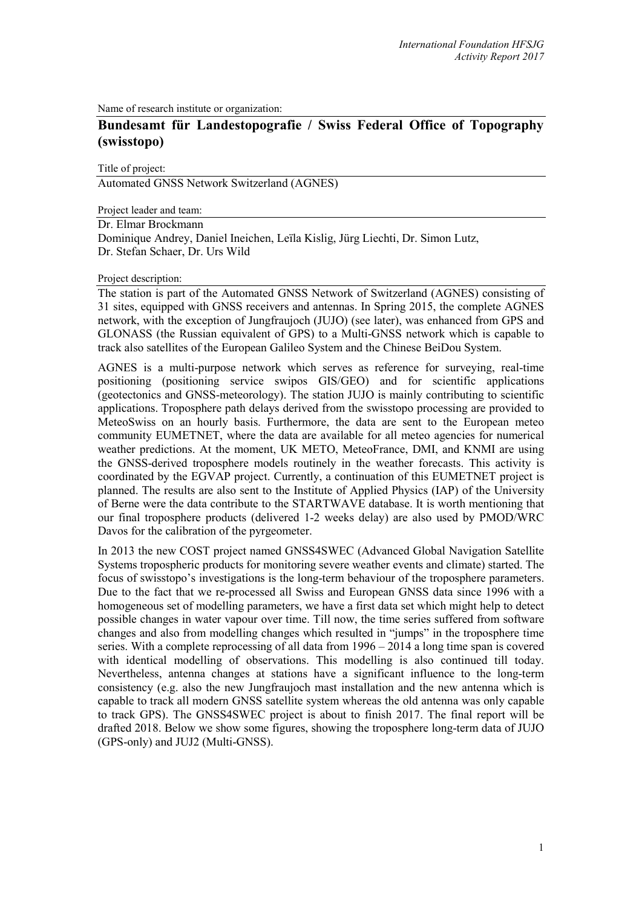Name of research institute or organization:

## **Bundesamt für Landestopografie / Swiss Federal Office of Topography (swisstopo)**

Title of project:

Automated GNSS Network Switzerland (AGNES)

Project leader and team:

Dr. Elmar Brockmann Dominique Andrey, Daniel Ineichen, Leïla Kislig, Jürg Liechti, Dr. Simon Lutz, Dr. Stefan Schaer, Dr. Urs Wild

## Project description:

The station is part of the Automated GNSS Network of Switzerland (AGNES) consisting of 31 sites, equipped with GNSS receivers and antennas. In Spring 2015, the complete AGNES network, with the exception of Jungfraujoch (JUJO) (see later), was enhanced from GPS and GLONASS (the Russian equivalent of GPS) to a Multi-GNSS network which is capable to track also satellites of the European Galileo System and the Chinese BeiDou System.

AGNES is a multi-purpose network which serves as reference for surveying, real-time positioning (positioning service swipos GIS/GEO) and for scientific applications (geotectonics and GNSS-meteorology). The station JUJO is mainly contributing to scientific applications. Troposphere path delays derived from the swisstopo processing are provided to MeteoSwiss on an hourly basis. Furthermore, the data are sent to the European meteo community EUMETNET, where the data are available for all meteo agencies for numerical weather predictions. At the moment, UK METO, MeteoFrance, DMI, and KNMI are using the GNSS-derived troposphere models routinely in the weather forecasts. This activity is coordinated by the EGVAP project. Currently, a continuation of this EUMETNET project is planned. The results are also sent to the Institute of Applied Physics (IAP) of the University of Berne were the data contribute to the STARTWAVE database. It is worth mentioning that our final troposphere products (delivered 1-2 weeks delay) are also used by PMOD/WRC Davos for the calibration of the pyrgeometer.

In 2013 the new COST project named GNSS4SWEC (Advanced Global Navigation Satellite Systems tropospheric products for monitoring severe weather events and climate) started. The focus of swisstopo's investigations is the long-term behaviour of the troposphere parameters. Due to the fact that we re-processed all Swiss and European GNSS data since 1996 with a homogeneous set of modelling parameters, we have a first data set which might help to detect possible changes in water vapour over time. Till now, the time series suffered from software changes and also from modelling changes which resulted in "jumps" in the troposphere time series. With a complete reprocessing of all data from  $1996 - 2014$  a long time span is covered with identical modelling of observations. This modelling is also continued till today. Nevertheless, antenna changes at stations have a significant influence to the long-term consistency (e.g. also the new Jungfraujoch mast installation and the new antenna which is capable to track all modern GNSS satellite system whereas the old antenna was only capable to track GPS). The GNSS4SWEC project is about to finish 2017. The final report will be drafted 2018. Below we show some figures, showing the troposphere long-term data of JUJO (GPS-only) and JUJ2 (Multi-GNSS).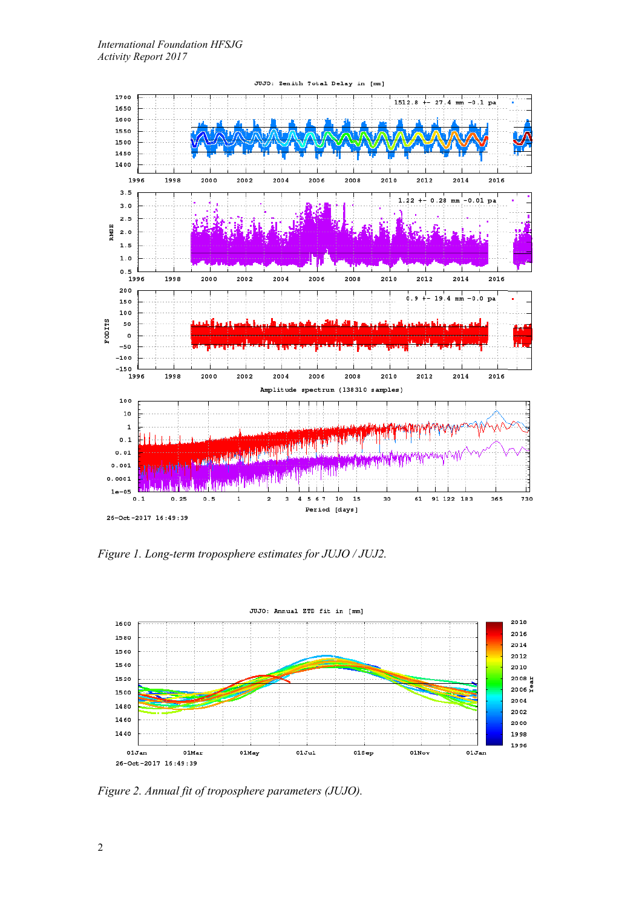

*Figure 1. Long-term troposphere estimates for JUJO / JUJ2.*



*Figure 2. Annual fit of troposphere parameters (JUJO).*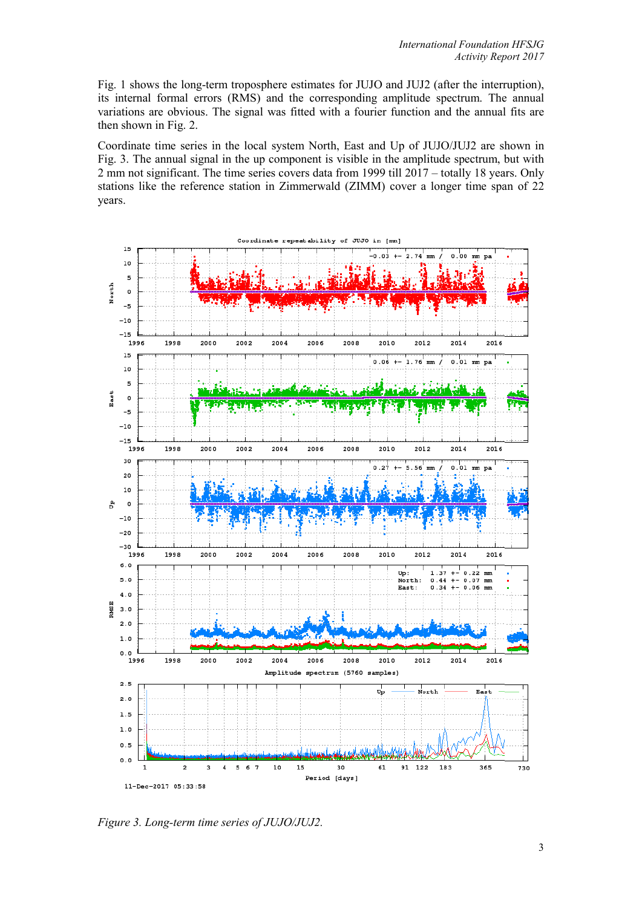Fig. 1 shows the long-term troposphere estimates for JUJO and JUJ2 (after the interruption), its internal formal errors (RMS) and the corresponding amplitude spectrum. The annual variations are obvious. The signal was fitted with a fourier function and the annual fits are then shown in Fig. 2.

Coordinate time series in the local system North, East and Up of JUJO/JUJ2 are shown in Fig. 3. The annual signal in the up component is visible in the amplitude spectrum, but with 2 mm not significant. The time series covers data from 1999 till 2017 – totally 18 years. Only stations like the reference station in Zimmerwald (ZIMM) cover a longer time span of 22 years.



*Figure 3. Long-term time series of JUJO/JUJ2.*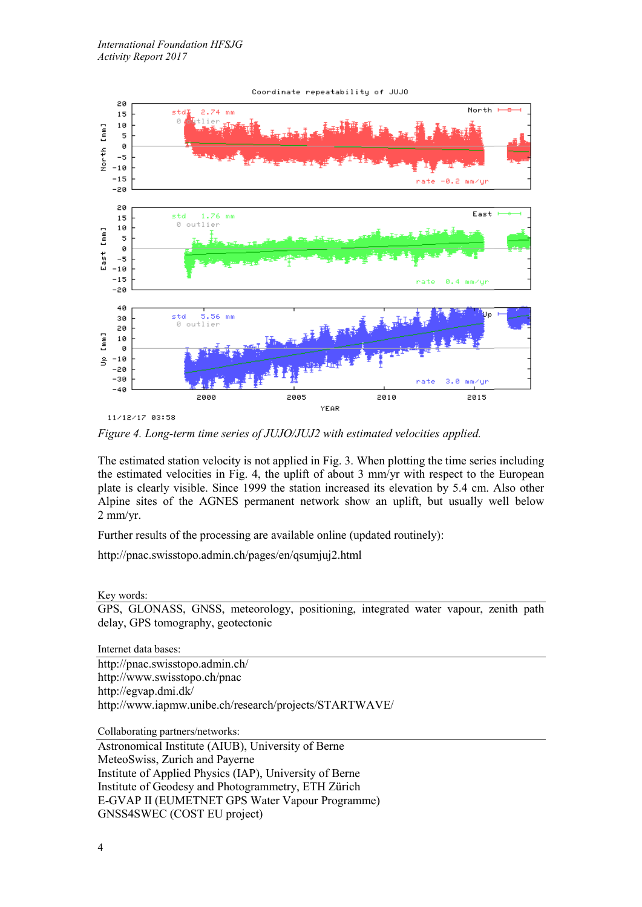

11/12/17 03:58

*Figure 4. Long-term time series of JUJO/JUJ2 with estimated velocities applied.*

The estimated station velocity is not applied in Fig. 3. When plotting the time series including the estimated velocities in Fig. 4, the uplift of about 3 mm/yr with respect to the European plate is clearly visible. Since 1999 the station increased its elevation by 5.4 cm. Also other Alpine sites of the AGNES permanent network show an uplift, but usually well below 2 mm/yr.

Further results of the processing are available online (updated routinely):

<http://pnac.swisstopo.admin.ch/pages/en/qsumjuj2.html>

Key words:

GPS, GLONASS, GNSS, meteorology, positioning, integrated water vapour, zenith path delay, GPS tomography, geotectonic

Internet data bases:

[http://pnac.swisstopo.admin.ch/](http://www.swisstopo.ch/pnac) <http://www.swisstopo.ch/pnac> <http://egvap.dmi.dk/> <http://www.iapmw.unibe.ch/research/projects/STARTWAVE/>

Collaborating partners/networks:

Astronomical Institute (AIUB), University of Berne MeteoSwiss, Zurich and Payerne Institute of Applied Physics (IAP), University of Berne Institute of Geodesy and Photogrammetry, ETH Zürich E-GVAP II (EUMETNET GPS Water Vapour Programme) GNSS4SWEC (COST EU project)